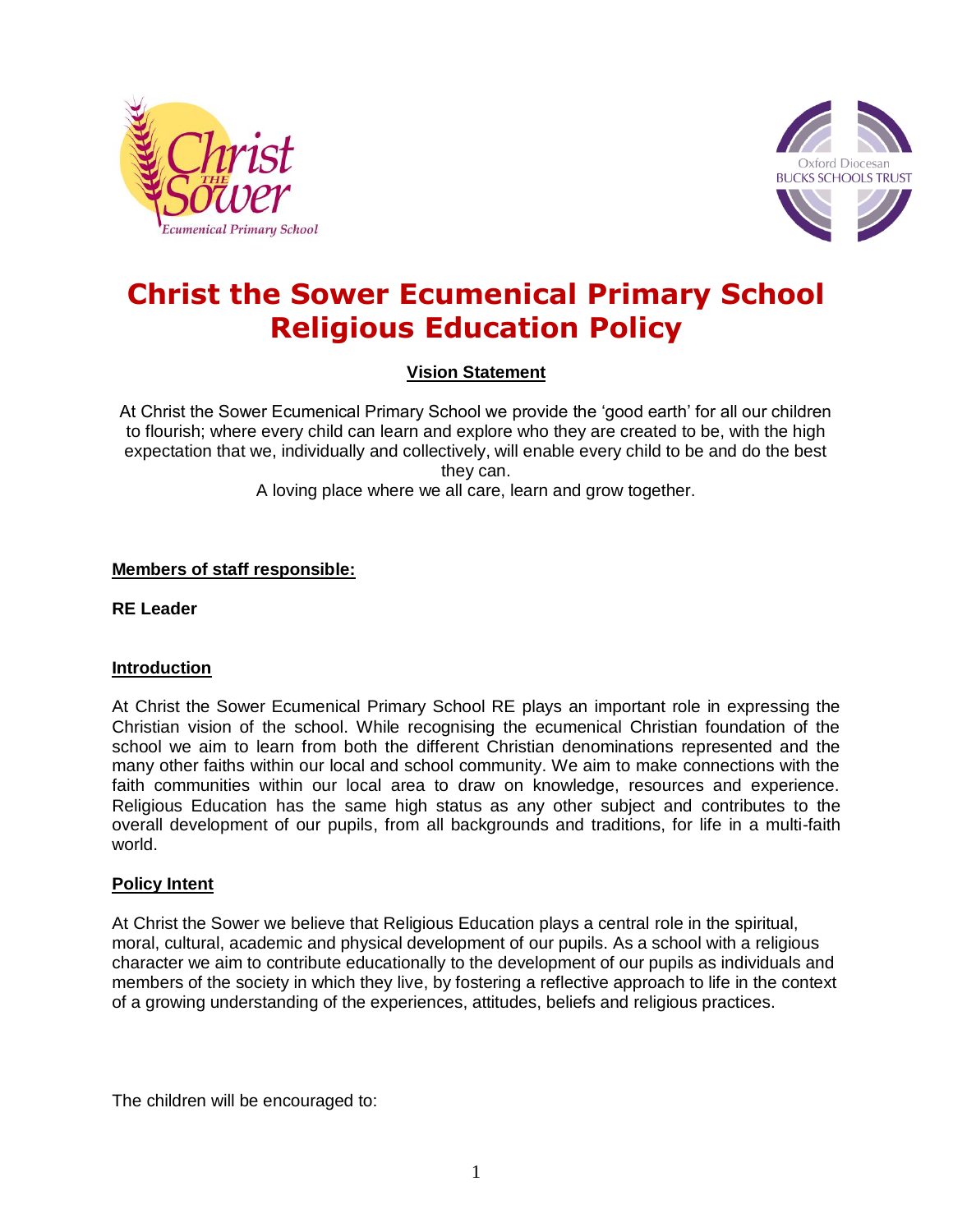



# **Christ the Sower Ecumenical Primary School Religious Education Policy**

**Vision Statement**

At Christ the Sower Ecumenical Primary School we provide the 'good earth' for all our children to flourish; where every child can learn and explore who they are created to be, with the high expectation that we, individually and collectively, will enable every child to be and do the best they can. A loving place where we all care, learn and grow together.

## **Members of staff responsible:**

**RE Leader**

## **Introduction**

At Christ the Sower Ecumenical Primary School RE plays an important role in expressing the Christian vision of the school. While recognising the ecumenical Christian foundation of the school we aim to learn from both the different Christian denominations represented and the many other faiths within our local and school community. We aim to make connections with the faith communities within our local area to draw on knowledge, resources and experience. Religious Education has the same high status as any other subject and contributes to the overall development of our pupils, from all backgrounds and traditions, for life in a multi-faith world.

## **Policy Intent**

At Christ the Sower we believe that Religious Education plays a central role in the spiritual, moral, cultural, academic and physical development of our pupils. As a school with a religious character we aim to contribute educationally to the development of our pupils as individuals and members of the society in which they live, by fostering a reflective approach to life in the context of a growing understanding of the experiences, attitudes, beliefs and religious practices.

The children will be encouraged to: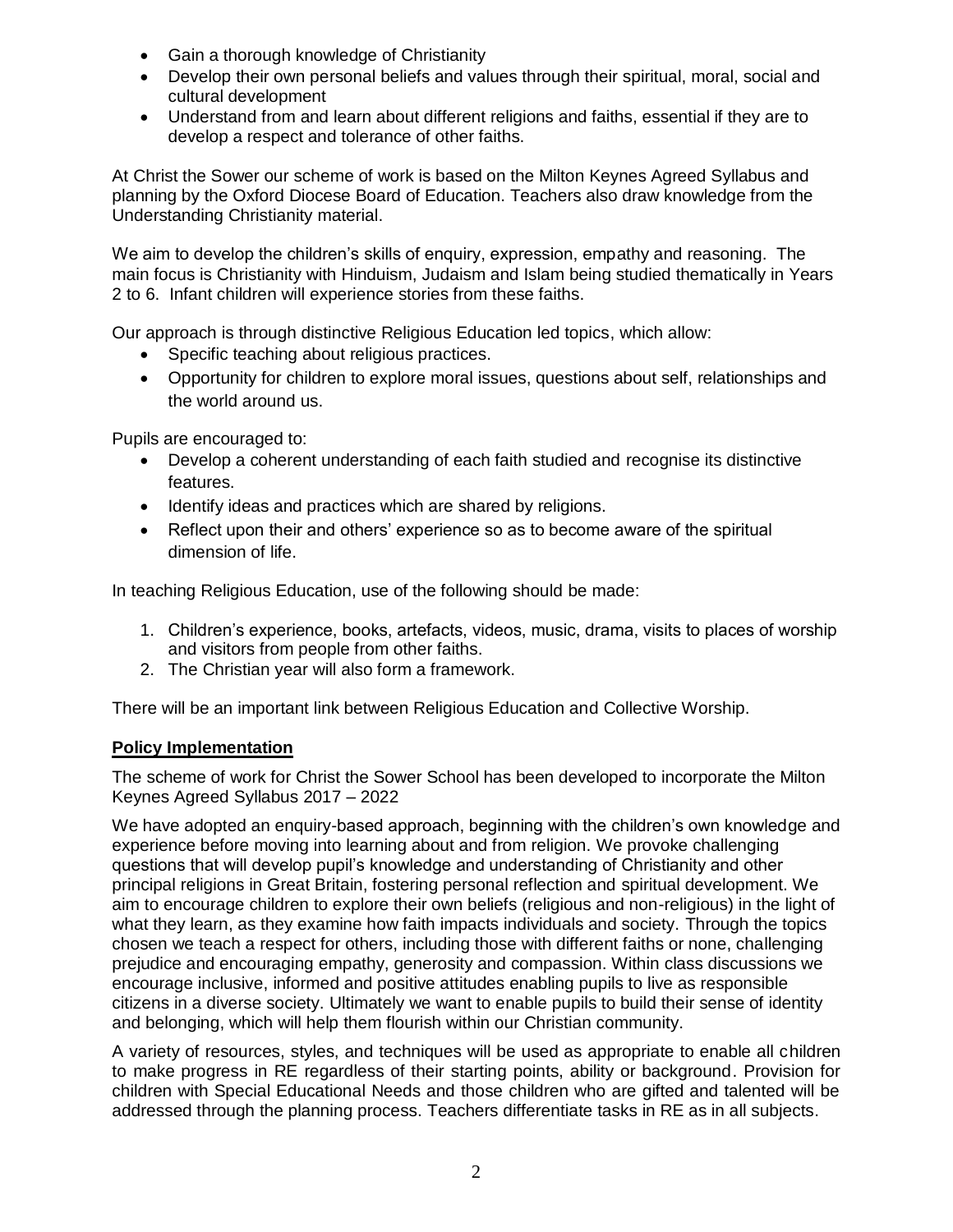- Gain a thorough knowledge of Christianity
- Develop their own personal beliefs and values through their spiritual, moral, social and cultural development
- Understand from and learn about different religions and faiths, essential if they are to develop a respect and tolerance of other faiths.

At Christ the Sower our scheme of work is based on the Milton Keynes Agreed Syllabus and planning by the Oxford Diocese Board of Education. Teachers also draw knowledge from the Understanding Christianity material.

We aim to develop the children's skills of enquiry, expression, empathy and reasoning. The main focus is Christianity with Hinduism, Judaism and Islam being studied thematically in Years 2 to 6. Infant children will experience stories from these faiths.

Our approach is through distinctive Religious Education led topics, which allow:

- Specific teaching about religious practices.
- Opportunity for children to explore moral issues, questions about self, relationships and the world around us.

Pupils are encouraged to:

- Develop a coherent understanding of each faith studied and recognise its distinctive features.
- Identify ideas and practices which are shared by religions.
- Reflect upon their and others' experience so as to become aware of the spiritual dimension of life.

In teaching Religious Education, use of the following should be made:

- 1. Children's experience, books, artefacts, videos, music, drama, visits to places of worship and visitors from people from other faiths.
- 2. The Christian year will also form a framework.

There will be an important link between Religious Education and Collective Worship.

## **Policy Implementation**

The scheme of work for Christ the Sower School has been developed to incorporate the Milton Keynes Agreed Syllabus 2017 – 2022

We have adopted an enquiry-based approach, beginning with the children's own knowledge and experience before moving into learning about and from religion. We provoke challenging questions that will develop pupil's knowledge and understanding of Christianity and other principal religions in Great Britain, fostering personal reflection and spiritual development. We aim to encourage children to explore their own beliefs (religious and non-religious) in the light of what they learn, as they examine how faith impacts individuals and society. Through the topics chosen we teach a respect for others, including those with different faiths or none, challenging prejudice and encouraging empathy, generosity and compassion. Within class discussions we encourage inclusive, informed and positive attitudes enabling pupils to live as responsible citizens in a diverse society. Ultimately we want to enable pupils to build their sense of identity and belonging, which will help them flourish within our Christian community.

A variety of resources, styles, and techniques will be used as appropriate to enable all children to make progress in RE regardless of their starting points, ability or background. Provision for children with Special Educational Needs and those children who are gifted and talented will be addressed through the planning process. Teachers differentiate tasks in RE as in all subjects.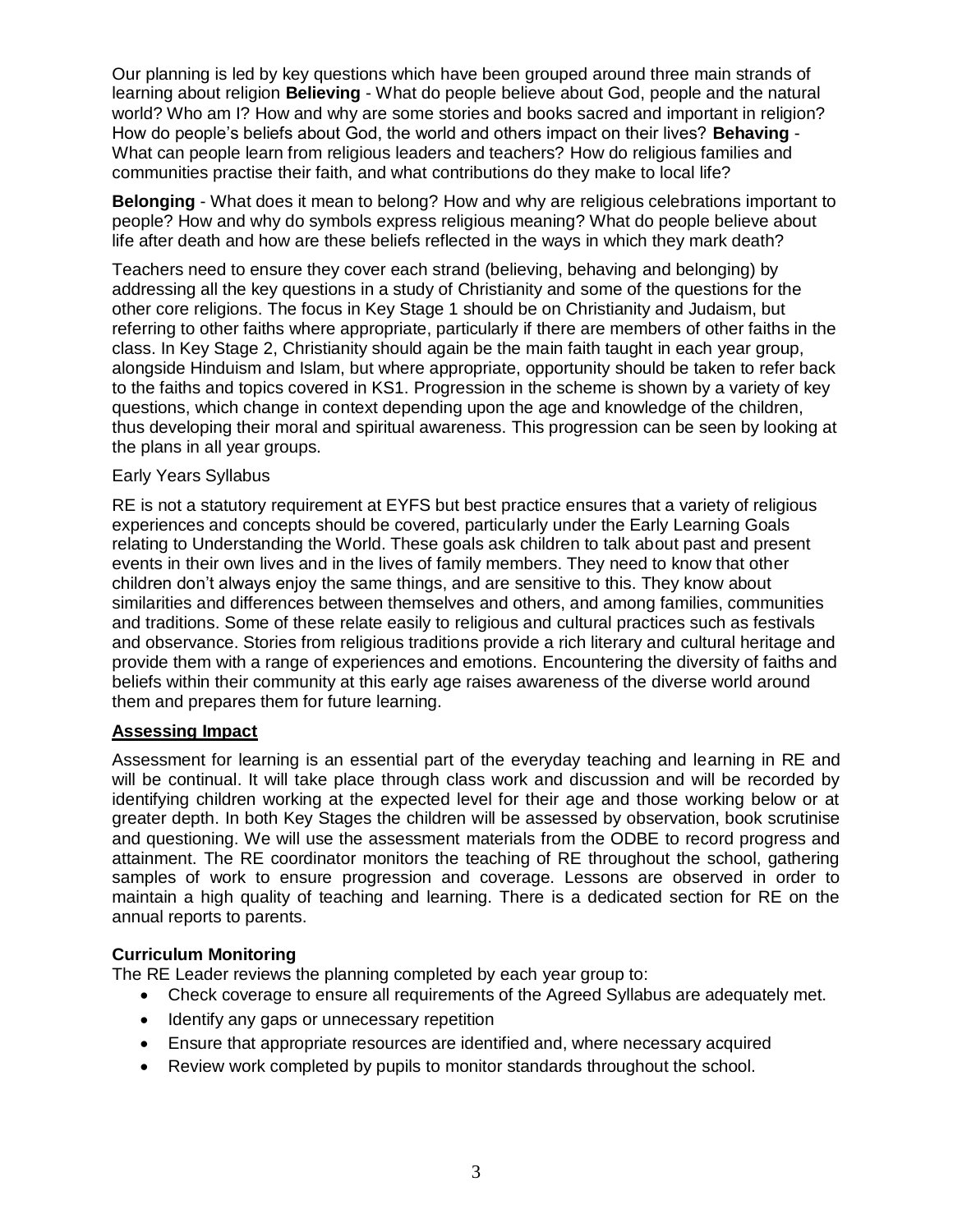Our planning is led by key questions which have been grouped around three main strands of learning about religion **Believing** - What do people believe about God, people and the natural world? Who am I? How and why are some stories and books sacred and important in religion? How do people's beliefs about God, the world and others impact on their lives? **Behaving** - What can people learn from religious leaders and teachers? How do religious families and communities practise their faith, and what contributions do they make to local life?

**Belonging** - What does it mean to belong? How and why are religious celebrations important to people? How and why do symbols express religious meaning? What do people believe about life after death and how are these beliefs reflected in the ways in which they mark death?

Teachers need to ensure they cover each strand (believing, behaving and belonging) by addressing all the key questions in a study of Christianity and some of the questions for the other core religions. The focus in Key Stage 1 should be on Christianity and Judaism, but referring to other faiths where appropriate, particularly if there are members of other faiths in the class. In Key Stage 2, Christianity should again be the main faith taught in each year group, alongside Hinduism and Islam, but where appropriate, opportunity should be taken to refer back to the faiths and topics covered in KS1. Progression in the scheme is shown by a variety of key questions, which change in context depending upon the age and knowledge of the children, thus developing their moral and spiritual awareness. This progression can be seen by looking at the plans in all year groups.

#### Early Years Syllabus

RE is not a statutory requirement at EYFS but best practice ensures that a variety of religious experiences and concepts should be covered, particularly under the Early Learning Goals relating to Understanding the World. These goals ask children to talk about past and present events in their own lives and in the lives of family members. They need to know that other children don't always enjoy the same things, and are sensitive to this. They know about similarities and differences between themselves and others, and among families, communities and traditions. Some of these relate easily to religious and cultural practices such as festivals and observance. Stories from religious traditions provide a rich literary and cultural heritage and provide them with a range of experiences and emotions. Encountering the diversity of faiths and beliefs within their community at this early age raises awareness of the diverse world around them and prepares them for future learning.

## **Assessing Impact**

Assessment for learning is an essential part of the everyday teaching and learning in RE and will be continual. It will take place through class work and discussion and will be recorded by identifying children working at the expected level for their age and those working below or at greater depth. In both Key Stages the children will be assessed by observation, book scrutinise and questioning. We will use the assessment materials from the ODBE to record progress and attainment. The RE coordinator monitors the teaching of RE throughout the school, gathering samples of work to ensure progression and coverage. Lessons are observed in order to maintain a high quality of teaching and learning. There is a dedicated section for RE on the annual reports to parents.

## **Curriculum Monitoring**

The RE Leader reviews the planning completed by each year group to:

- Check coverage to ensure all requirements of the Agreed Syllabus are adequately met.
- Identify any gaps or unnecessary repetition
- Ensure that appropriate resources are identified and, where necessary acquired
- Review work completed by pupils to monitor standards throughout the school.